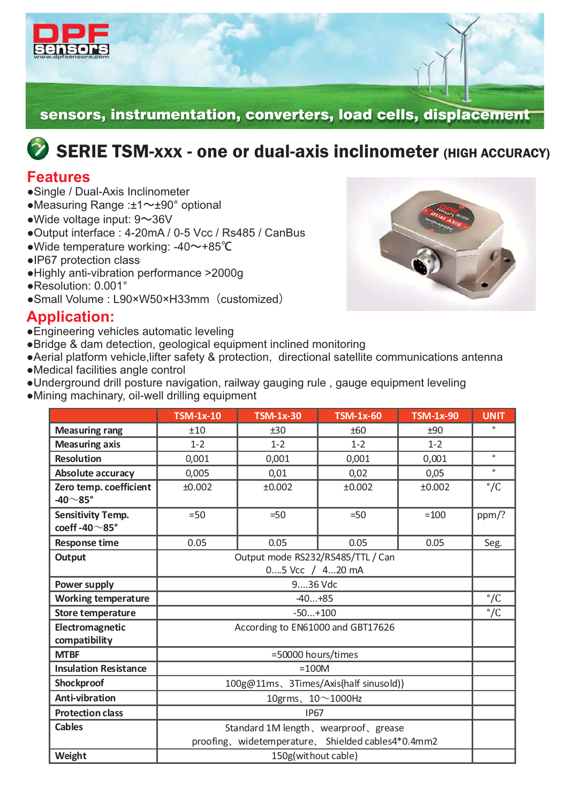

sensors, instrumentation, converters, load cells, displacement

# $\bullet$  SERIE TSM-xxx - one or dual-axis inclinometer (HIGH ACCURACY)

### **Features**

- ●Single / Dual-Axis Inclinometer
- ●Measuring Range :±1~±90° optional
- $\bullet$  Wide voltage input: 9 $\sim$ 36V
- ●Output interface : 4-20mA / 0-5 Vcc / Rs485 / CanBus
- •Wide temperature working: -40~+85℃
- ●IP67 protection class
- ●Highly anti-vibration performance >2000g
- ●Resolution: 0.001°
- Small Volume : L90×W50×H33mm (customized)

#### **Application:**

- ●Engineering vehicles automatic leveling
- Bridge & dam detection, geological equipment inclined monitoring
- Aerial platform vehicle, lifter safety & protection, directional satellite communications antenna
- ●Medical facilities angle control
- Underground drill posture navigation, railway gauging rule, gauge equipment leveling
- ●Mining machinary, oil-well drilling equipment

|                                                 | <b>TSM-1x-10</b>                                   | <b>TSM-1x-30</b> | <b>TSM-1x-60</b> | <b>TSM-1x-90</b> | <b>UNIT</b>  |
|-------------------------------------------------|----------------------------------------------------|------------------|------------------|------------------|--------------|
| <b>Measuring rang</b>                           | ±10                                                | ±30              | ±60              | ±90              | $\circ$      |
| <b>Measuring axis</b>                           | $1 - 2$                                            | $1 - 2$          | $1 - 2$          | $1 - 2$          |              |
| <b>Resolution</b>                               | 0,001                                              | 0,001            | 0,001            | 0,001            | $\bullet$    |
| <b>Absolute accuracy</b>                        | 0,005                                              | 0,01             | 0,02             | 0,05             | $\mathbf{o}$ |
| Zero temp. coefficient<br>-40 $\sim$ 85°        | ±0.002                                             | ±0.002           | ±0.002           | ±0.002           | $\degree$ /C |
| <b>Sensitivity Temp.</b><br>coeff-40 $\sim$ 85° | $=50$                                              | $=50$            | $=50$            | $=100$           | ppm/?        |
| <b>Response time</b>                            | 0.05                                               | 0.05             | 0.05             | 0.05             | Seg.         |
| Output                                          | Output mode RS232/RS485/TTL / Can                  |                  |                  |                  |              |
|                                                 | 05 Vcc / 420 mA                                    |                  |                  |                  |              |
| Power supply                                    | 936 Vdc                                            |                  |                  |                  |              |
| <b>Working temperature</b>                      | $-40+85$                                           |                  |                  |                  | $\degree$ /C |
| Store temperature                               | $-50+100$                                          |                  |                  |                  | $\degree$ /C |
| Electromagnetic<br>compatibility                | According to EN61000 and GBT17626                  |                  |                  |                  |              |
| <b>MTBF</b>                                     | =50000 hours/times                                 |                  |                  |                  |              |
| <b>Insulation Resistance</b>                    | $=100M$                                            |                  |                  |                  |              |
| Shockproof                                      | 100g@11ms、3Times/Axis(half sinusold))              |                  |                  |                  |              |
| <b>Anti-vibration</b>                           | 10grms、10~1000Hz                                   |                  |                  |                  |              |
| <b>Protection class</b>                         | <b>IP67</b>                                        |                  |                  |                  |              |
| <b>Cables</b>                                   | Standard 1M length, wearproof, grease              |                  |                  |                  |              |
|                                                 | proofing, widetemperature, Shielded cables4*0.4mm2 |                  |                  |                  |              |
| Weight                                          | 150g(without cable)                                |                  |                  |                  |              |